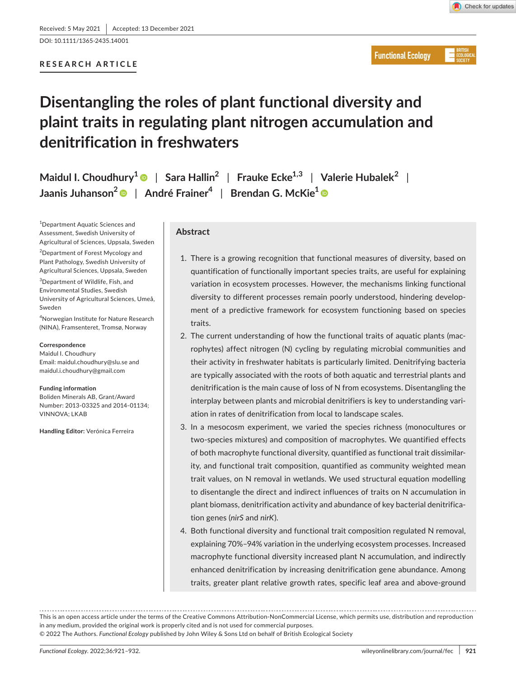DOI: 10.1111/1365-2435.14001

# **RESEARCH ARTICLE**



**Functional Ecology** 

# **Disentangling the roles of plant functional diversity and plaint traits in regulating plant nitrogen accumulation and denitrification in freshwaters**

**Maidul I. Choudhury1** | **Sara Hallin2** | **Frauke Ecke1,3** | **Valerie Hubalek<sup>2</sup>** | **Jaanis Juhanson[2](https://orcid.org/0000-0003-3799-2819)** | **André Frainer4** | **Brendan G. McKie[1](https://orcid.org/0000-0002-1796-9497)**

1 Department Aquatic Sciences and Assessment, Swedish University of Agricultural of Sciences, Uppsala, Sweden

2 Department of Forest Mycology and Plant Pathology, Swedish University of Agricultural Sciences, Uppsala, Sweden

3 Department of Wildlife, Fish, and Environmental Studies, Swedish University of Agricultural Sciences, Umeå, Sweden

4 Norwegian Institute for Nature Research (NINA), Framsenteret, Tromsø, Norway

#### **Correspondence**

Maidul I. Choudhury Email: [maidul.choudhury@slu.se](mailto:maidul.choudhury@slu.se) and [maidul.i.choudhury@gmail.com](mailto:maidul.i.choudhury@gmail.com)

#### **Funding information**

Boliden Minerals AB, Grant/Award Number: 2013-03325 and 2014-01134; VINNOVA; LKAB

**Handling Editor:** Verónica Ferreira

# **Abstract**

- 1. There is a growing recognition that functional measures of diversity, based on quantification of functionally important species traits, are useful for explaining variation in ecosystem processes. However, the mechanisms linking functional diversity to different processes remain poorly understood, hindering development of a predictive framework for ecosystem functioning based on species traits.
- 2. The current understanding of how the functional traits of aquatic plants (macrophytes) affect nitrogen (N) cycling by regulating microbial communities and their activity in freshwater habitats is particularly limited. Denitrifying bacteria are typically associated with the roots of both aquatic and terrestrial plants and denitrification is the main cause of loss of N from ecosystems. Disentangling the interplay between plants and microbial denitrifiers is key to understanding variation in rates of denitrification from local to landscape scales.
- 3. In a mesocosm experiment, we varied the species richness (monocultures or two-species mixtures) and composition of macrophytes. We quantified effects of both macrophyte functional diversity, quantified as functional trait dissimilarity, and functional trait composition, quantified as community weighted mean trait values, on N removal in wetlands. We used structural equation modelling to disentangle the direct and indirect influences of traits on N accumulation in plant biomass, denitrification activity and abundance of key bacterial denitrification genes (*nirS* and *nirK*).
- 4. Both functional diversity and functional trait composition regulated N removal, explaining 70%–94% variation in the underlying ecosystem processes. Increased macrophyte functional diversity increased plant N accumulation, and indirectly enhanced denitrification by increasing denitrification gene abundance. Among traits, greater plant relative growth rates, specific leaf area and above-ground

This is an open access article under the terms of the [Creative Commons Attribution-NonCommercial](http://creativecommons.org/licenses/by-nc/4.0/) License, which permits use, distribution and reproduction in any medium, provided the original work is properly cited and is not used for commercial purposes. © 2022 The Authors. *Functional Ecology* published by John Wiley & Sons Ltd on behalf of British Ecological Society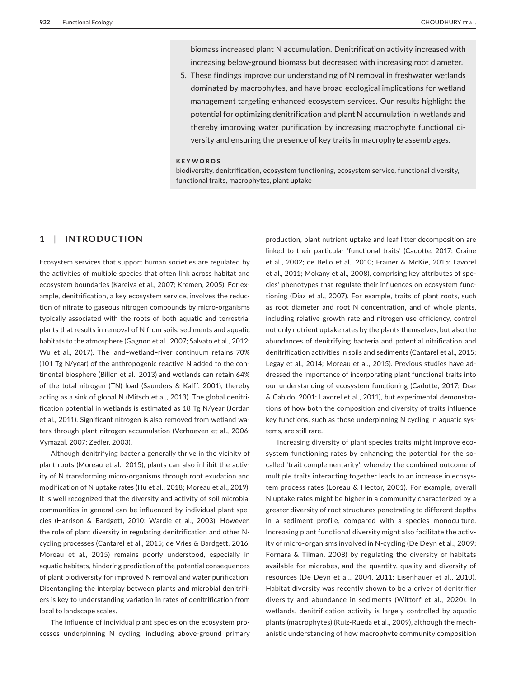biomass increased plant N accumulation. Denitrification activity increased with increasing below-ground biomass but decreased with increasing root diameter.

5. These findings improve our understanding of N removal in freshwater wetlands dominated by macrophytes, and have broad ecological implications for wetland management targeting enhanced ecosystem services. Our results highlight the potential for optimizing denitrification and plant N accumulation in wetlands and thereby improving water purification by increasing macrophyte functional diversity and ensuring the presence of key traits in macrophyte assemblages.

#### **KEYWORDS**

biodiversity, denitrification, ecosystem functioning, ecosystem service, functional diversity, functional traits, macrophytes, plant uptake

# **1**  | **INTRODUCTION**

Ecosystem services that support human societies are regulated by the activities of multiple species that often link across habitat and ecosystem boundaries (Kareiva et al., 2007; Kremen, 2005). For example, denitrification, a key ecosystem service, involves the reduction of nitrate to gaseous nitrogen compounds by micro-organisms typically associated with the roots of both aquatic and terrestrial plants that results in removal of N from soils, sediments and aquatic habitats to the atmosphere (Gagnon et al., 2007; Salvato et al., 2012; Wu et al., 2017). The land–wetland–river continuum retains 70% (101 Tg N/year) of the anthropogenic reactive N added to the continental biosphere (Billen et al., 2013) and wetlands can retain 64% of the total nitrogen (TN) load (Saunders & Kalff, 2001), thereby acting as a sink of global N (Mitsch et al., 2013). The global denitrification potential in wetlands is estimated as 18 Tg N/year (Jordan et al., 2011). Significant nitrogen is also removed from wetland waters through plant nitrogen accumulation (Verhoeven et al., 2006; Vymazal, 2007; Zedler, 2003).

Although denitrifying bacteria generally thrive in the vicinity of plant roots (Moreau et al., 2015), plants can also inhibit the activity of N transforming micro-organisms through root exudation and modification of N uptake rates (Hu et al., 2018; Moreau et al., 2019). It is well recognized that the diversity and activity of soil microbial communities in general can be influenced by individual plant species (Harrison & Bardgett, 2010; Wardle et al., 2003). However, the role of plant diversity in regulating denitrification and other Ncycling processes (Cantarel et al., 2015; de Vries & Bardgett, 2016; Moreau et al., 2015) remains poorly understood, especially in aquatic habitats, hindering prediction of the potential consequences of plant biodiversity for improved N removal and water purification. Disentangling the interplay between plants and microbial denitrifiers is key to understanding variation in rates of denitrification from local to landscape scales.

The influence of individual plant species on the ecosystem processes underpinning N cycling, including above-ground primary

production, plant nutrient uptake and leaf litter decomposition are linked to their particular 'functional traits' (Cadotte, 2017; Craine et al., 2002; de Bello et al., 2010; Frainer & McKie, 2015; Lavorel et al., 2011; Mokany et al., 2008), comprising key attributes of species' phenotypes that regulate their influences on ecosystem functioning (Díaz et al., 2007). For example, traits of plant roots, such as root diameter and root N concentration, and of whole plants, including relative growth rate and nitrogen use efficiency, control not only nutrient uptake rates by the plants themselves, but also the abundances of denitrifying bacteria and potential nitrification and denitrification activities in soils and sediments (Cantarel et al., 2015; Legay et al., 2014; Moreau et al., 2015). Previous studies have addressed the importance of incorporating plant functional traits into our understanding of ecosystem functioning (Cadotte, 2017; Díaz & Cabido, 2001; Lavorel et al., 2011), but experimental demonstrations of how both the composition and diversity of traits influence key functions, such as those underpinning N cycling in aquatic systems, are still rare.

Increasing diversity of plant species traits might improve ecosystem functioning rates by enhancing the potential for the socalled 'trait complementarity', whereby the combined outcome of multiple traits interacting together leads to an increase in ecosystem process rates (Loreau & Hector, 2001). For example, overall N uptake rates might be higher in a community characterized by a greater diversity of root structures penetrating to different depths in a sediment profile, compared with a species monoculture. Increasing plant functional diversity might also facilitate the activity of micro-organisms involved in N-cycling (De Deyn et al., 2009; Fornara & Tilman, 2008) by regulating the diversity of habitats available for microbes, and the quantity, quality and diversity of resources (De Deyn et al., 2004, 2011; Eisenhauer et al., 2010). Habitat diversity was recently shown to be a driver of denitrifier diversity and abundance in sediments (Wittorf et al., 2020). In wetlands, denitrification activity is largely controlled by aquatic plants (macrophytes) (Ruiz-Rueda et al., 2009), although the mechanistic understanding of how macrophyte community composition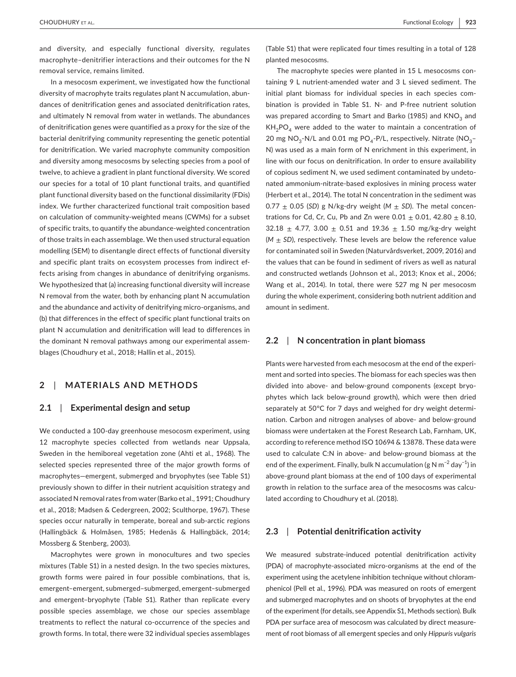and diversity, and especially functional diversity, regulates macrophyte–denitrifier interactions and their outcomes for the N removal service, remains limited.

In a mesocosm experiment, we investigated how the functional diversity of macrophyte traits regulates plant N accumulation, abundances of denitrification genes and associated denitrification rates, and ultimately N removal from water in wetlands. The abundances of denitrification genes were quantified as a proxy for the size of the bacterial denitrifying community representing the genetic potential for denitrification. We varied macrophyte community composition and diversity among mesocosms by selecting species from a pool of twelve, to achieve a gradient in plant functional diversity. We scored our species for a total of 10 plant functional traits, and quantified plant functional diversity based on the functional dissimilarity (FDis) index. We further characterized functional trait composition based on calculation of community-weighted means (CWMs) for a subset of specific traits, to quantify the abundance-weighted concentration of those traits in each assemblage. We then used structural equation modelling (SEM) to disentangle direct effects of functional diversity and specific plant traits on ecosystem processes from indirect effects arising from changes in abundance of denitrifying organisms. We hypothesized that (a) increasing functional diversity will increase N removal from the water, both by enhancing plant N accumulation and the abundance and activity of denitrifying micro-organisms, and (b) that differences in the effect of specific plant functional traits on plant N accumulation and denitrification will lead to differences in the dominant N removal pathways among our experimental assemblages (Choudhury et al., 2018; Hallin et al., 2015).

# **2**  | **MATERIALS AND METHODS**

# **2.1**  | **Experimental design and setup**

We conducted a 100-day greenhouse mesocosm experiment, using 12 macrophyte species collected from wetlands near Uppsala, Sweden in the hemiboreal vegetation zone (Ahti et al., 1968). The selected species represented three of the major growth forms of macrophytes—emergent, submerged and bryophytes (see Table S1) previously shown to differ in their nutrient acquisition strategy and associated N removal rates from water (Barko et al., 1991; Choudhury et al., 2018; Madsen & Cedergreen, 2002; Sculthorpe, 1967). These species occur naturally in temperate, boreal and sub-arctic regions (Hallingbäck & Holmåsen, 1985; Hedenäs & Hallingbäck, 2014; Mossberg & Stenberg, 2003).

Macrophytes were grown in monocultures and two species mixtures (Table S1) in a nested design. In the two species mixtures, growth forms were paired in four possible combinations, that is, emergent–emergent, submerged–submerged, emergent–submerged and emergent–bryophyte (Table S1). Rather than replicate every possible species assemblage, we chose our species assemblage treatments to reflect the natural co-occurrence of the species and growth forms. In total, there were 32 individual species assemblages

(Table S1) that were replicated four times resulting in a total of 128 planted mesocosms.

The macrophyte species were planted in 15 L mesocosms containing 9 L nutrient-amended water and 3 L sieved sediment. The initial plant biomass for individual species in each species combination is provided in Table S1. N- and P-free nutrient solution was prepared according to Smart and Barko (1985) and  $KNO<sub>3</sub>$  and  $KH<sub>2</sub>PO<sub>4</sub>$  were added to the water to maintain a concentration of 20 mg NO<sub>3</sub>-N/L and 0.01 mg PO<sub>4</sub>-P/L, respectively. Nitrate (NO<sub>3</sub>-N) was used as a main form of N enrichment in this experiment, in line with our focus on denitrification. In order to ensure availability of copious sediment N, we used sediment contaminated by undetonated ammonium-nitrate-based explosives in mining process water (Herbert et al., 2014). The total N concentration in the sediment was  $0.77 \pm 0.05$  (*SD*) g N/kg-dry weight (*M*  $\pm$  *SD*). The metal concentrations for Cd, Cr, Cu, Pb and Zn were  $0.01 \pm 0.01$ , 42.80  $\pm$  8.10, 32.18  $\pm$  4.77, 3.00  $\pm$  0.51 and 19.36  $\pm$  1.50 mg/kg-dry weight  $(M \pm SD)$ , respectively. These levels are below the reference value for contaminated soil in Sweden (Naturvårdsverket, 2009, 2016) and the values that can be found in sediment of rivers as well as natural and constructed wetlands (Johnson et al., 2013; Knox et al., 2006; Wang et al., 2014). In total, there were 527 mg N per mesocosm during the whole experiment, considering both nutrient addition and amount in sediment.

# **2.2**  | **N concentration in plant biomass**

Plants were harvested from each mesocosm at the end of the experiment and sorted into species. The biomass for each species was then divided into above- and below-ground components (except bryophytes which lack below-ground growth), which were then dried separately at 50°C for 7 days and weighed for dry weight determination. Carbon and nitrogen analyses of above- and below-ground biomass were undertaken at the Forest Research Lab, Farnham, UK, according to reference method ISO 10694 & 13878. These data were used to calculate C:N in above- and below-ground biomass at the end of the experiment. Finally, bulk N accumulation (g N m<sup>-2</sup> day<sup>-1</sup>) in above-ground plant biomass at the end of 100 days of experimental growth in relation to the surface area of the mesocosms was calculated according to Choudhury et al. (2018).

#### **2.3**  | **Potential denitrification activity**

We measured substrate-induced potential denitrification activity (PDA) of macrophyte-associated micro-organisms at the end of the experiment using the acetylene inhibition technique without chloramphenicol (Pell et al., 1996). PDA was measured on roots of emergent and submerged macrophytes and on shoots of bryophytes at the end of the experiment (for details, see Appendix S1, Methods section). Bulk PDA per surface area of mesocosm was calculated by direct measurement of root biomass of all emergent species and only *Hippuris vulgaris*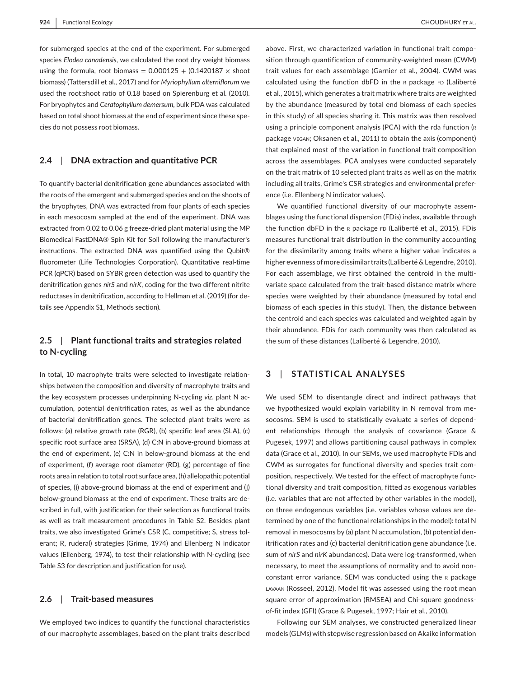for submerged species at the end of the experiment. For submerged species *Elodea canadensis*, we calculated the root dry weight biomass using the formula, root biomass =  $0.000125 + (0.1420187 \times$  shoot biomass) (Tattersdill et al., 2017) and for *Myriophyllum alterniflorum* we used the root:shoot ratio of 0.18 based on Spierenburg et al. (2010). For bryophytes and *Ceratophyllum demersum*, bulk PDA was calculated based on total shoot biomass at the end of experiment since these species do not possess root biomass.

# **2.4**  | **DNA extraction and quantitative PCR**

To quantify bacterial denitrification gene abundances associated with the roots of the emergent and submerged species and on the shoots of the bryophytes, DNA was extracted from four plants of each species in each mesocosm sampled at the end of the experiment. DNA was extracted from 0.02 to 0.06 g freeze-dried plant material using the MP Biomedical FastDNA® Spin Kit for Soil following the manufacturer's instructions. The extracted DNA was quantified using the Qubit® fluorometer (Life Technologies Corporation). Quantitative real-time PCR (qPCR) based on SYBR green detection was used to quantify the denitrification genes *nirS* and *nirK*, coding for the two different nitrite reductases in denitrification, according to Hellman et al. (2019) (for details see Appendix S1, Methods section).

# **2.5**  | **Plant functional traits and strategies related to N-cycling**

In total, 10 macrophyte traits were selected to investigate relationships between the composition and diversity of macrophyte traits and the key ecosystem processes underpinning N-cycling *viz*. plant N accumulation, potential denitrification rates, as well as the abundance of bacterial denitrification genes. The selected plant traits were as follows: (a) relative growth rate (RGR), (b) specific leaf area (SLA), (c) specific root surface area (SRSA), (d) C:N in above-ground biomass at the end of experiment, (e) C:N in below-ground biomass at the end of experiment, (f) average root diameter (RD), (g) percentage of fine roots area in relation to total root surface area, (h) allelopathic potential of species, (i) above-ground biomass at the end of experiment and (j) below-ground biomass at the end of experiment. These traits are described in full, with justification for their selection as functional traits as well as trait measurement procedures in Table S2. Besides plant traits, we also investigated Grime's CSR (C, competitive; S, stress tolerant; R, ruderal) strategies (Grime, 1974) and Ellenberg N indicator values (Ellenberg, 1974), to test their relationship with N-cycling (see Table S3 for description and justification for use).

### **2.6**  | **Trait-based measures**

We employed two indices to quantify the functional characteristics of our macrophyte assemblages, based on the plant traits described

above. First, we characterized variation in functional trait composition through quantification of community-weighted mean (CWM) trait values for each assemblage (Garnier et al., 2004). CWM was calculated using the function dbFD in the R package FD (Laliberté et al., 2015), which generates a trait matrix where traits are weighted by the abundance (measured by total end biomass of each species in this study) of all species sharing it. This matrix was then resolved using a principle component analysis (PCA) with the rda function (R package vegan; Oksanen et al., 2011) to obtain the axis (component) that explained most of the variation in functional trait composition across the assemblages. PCA analyses were conducted separately on the trait matrix of 10 selected plant traits as well as on the matrix including all traits, Grime's CSR strategies and environmental preference (i.e. Ellenberg N indicator values).

We quantified functional diversity of our macrophyte assemblages using the functional dispersion (FDis) index, available through the function dbFD in the R package FD (Laliberté et al., 2015). FDis measures functional trait distribution in the community accounting for the dissimilarity among traits where a higher value indicates a higher evenness of more dissimilar traits (Laliberté & Legendre, 2010). For each assemblage, we first obtained the centroid in the multivariate space calculated from the trait-based distance matrix where species were weighted by their abundance (measured by total end biomass of each species in this study). Then, the distance between the centroid and each species was calculated and weighted again by their abundance. FDis for each community was then calculated as the sum of these distances (Laliberté & Legendre, 2010).

# **3**  | **STATISTICAL ANALYSES**

We used SEM to disentangle direct and indirect pathways that we hypothesized would explain variability in N removal from mesocosms. SEM is used to statistically evaluate a series of dependent relationships through the analysis of covariance (Grace & Pugesek, 1997) and allows partitioning causal pathways in complex data (Grace et al., 2010). In our SEMs, we used macrophyte FDis and CWM as surrogates for functional diversity and species trait composition, respectively. We tested for the effect of macrophyte functional diversity and trait composition, fitted as exogenous variables (i.e. variables that are not affected by other variables in the model), on three endogenous variables (i.e. variables whose values are determined by one of the functional relationships in the model): total N removal in mesocosms by (a) plant N accumulation, (b) potential denitrification rates and (c) bacterial denitrification gene abundance (i.e. sum of *nirS* and *nirK* abundances). Data were log-transformed, when necessary, to meet the assumptions of normality and to avoid nonconstant error variance. SEM was conducted using the r package LAVAAN (Rosseel, 2012). Model fit was assessed using the root mean square error of approximation (RMSEA) and Chi-square goodnessof-fit index (GFI) (Grace & Pugesek, 1997; Hair et al., 2010).

Following our SEM analyses, we constructed generalized linear models (GLMs) with stepwise regression based on Akaike information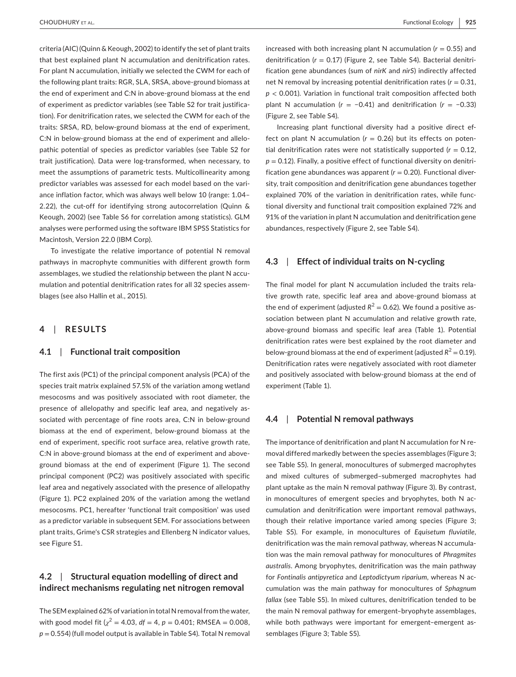criteria (AIC) (Quinn & Keough, 2002) to identify the set of plant traits that best explained plant N accumulation and denitrification rates. For plant N accumulation, initially we selected the CWM for each of the following plant traits: RGR, SLA, SRSA, above-ground biomass at the end of experiment and C:N in above-ground biomass at the end of experiment as predictor variables (see Table S2 for trait justification). For denitrification rates, we selected the CWM for each of the traits: SRSA, RD, below-ground biomass at the end of experiment, C:N in below-ground biomass at the end of experiment and allelopathic potential of species as predictor variables (see Table S2 for trait justification). Data were log-transformed, when necessary, to meet the assumptions of parametric tests. Multicollinearity among predictor variables was assessed for each model based on the variance inflation factor, which was always well below 10 (range: 1.04– 2.22), the cut-off for identifying strong autocorrelation (Quinn & Keough, 2002) (see Table S6 for correlation among statistics). GLM analyses were performed using the software IBM SPSS Statistics for Macintosh, Version 22.0 (IBM Corp).

To investigate the relative importance of potential N removal pathways in macrophyte communities with different growth form assemblages, we studied the relationship between the plant N accumulation and potential denitrification rates for all 32 species assemblages (see also Hallin et al., 2015).

# **4**  | **RESULTS**

#### **4.1**  | **Functional trait composition**

The first axis (PC1) of the principal component analysis (PCA) of the species trait matrix explained 57.5% of the variation among wetland mesocosms and was positively associated with root diameter, the presence of allelopathy and specific leaf area, and negatively associated with percentage of fine roots area, C:N in below-ground biomass at the end of experiment, below-ground biomass at the end of experiment, specific root surface area, relative growth rate, C:N in above-ground biomass at the end of experiment and aboveground biomass at the end of experiment (Figure 1). The second principal component (PC2) was positively associated with specific leaf area and negatively associated with the presence of allelopathy (Figure 1). PC2 explained 20% of the variation among the wetland mesocosms. PC1, hereafter 'functional trait composition' was used as a predictor variable in subsequent SEM. For associations between plant traits, Grime's CSR strategies and Ellenberg N indicator values, see Figure S1.

# **4.2**  | **Structural equation modelling of direct and indirect mechanisms regulating net nitrogen removal**

The SEM explained 62% of variation in total N removal from the water, with good model fit  $(y^2 = 4.03, df = 4, p = 0.401$ ; RMSEA = 0.008, *p* = 0.554) (full model output is available in Table S4). Total N removal

increased with both increasing plant N accumulation  $(r = 0.55)$  and denitrification (*r* = 0.17) (Figure 2, see Table S4). Bacterial denitrification gene abundances (sum of *nirK* and *nirS*) indirectly affected net N removal by increasing potential denitrification rates (*r* = 0.31, *p* < 0.001). Variation in functional trait composition affected both plant N accumulation (*r* = −0.41) and denitrification (*r* = −0.33) (Figure 2, see Table S4).

Increasing plant functional diversity had a positive direct effect on plant N accumulation  $(r = 0.26)$  but its effects on potential denitrification rates were not statistically supported ( $r = 0.12$ ,  $p = 0.12$ ). Finally, a positive effect of functional diversity on denitrification gene abundances was apparent  $(r = 0.20)$ . Functional diversity, trait composition and denitrification gene abundances together explained 70% of the variation in denitrification rates, while functional diversity and functional trait composition explained 72% and 91% of the variation in plant N accumulation and denitrification gene abundances, respectively (Figure 2, see Table S4).

#### **4.3**  | **Effect of individual traits on N-cycling**

The final model for plant N accumulation included the traits relative growth rate, specific leaf area and above-ground biomass at the end of experiment (adjusted  $R^2 = 0.62$ ). We found a positive association between plant N accumulation and relative growth rate, above-ground biomass and specific leaf area (Table 1). Potential denitrification rates were best explained by the root diameter and below-ground biomass at the end of experiment (adjusted  $R^2 = 0.19$ ). Denitrification rates were negatively associated with root diameter and positively associated with below-ground biomass at the end of experiment (Table 1).

## **4.4**  | **Potential N removal pathways**

The importance of denitrification and plant N accumulation for N removal differed markedly between the species assemblages (Figure 3; see Table S5). In general, monocultures of submerged macrophytes and mixed cultures of submerged–submerged macrophytes had plant uptake as the main N removal pathway (Figure 3). By contrast, in monocultures of emergent species and bryophytes, both N accumulation and denitrification were important removal pathways, though their relative importance varied among species (Figure 3; Table S5). For example, in monocultures of *Equisetum fluviatile*, denitrification was the main removal pathway, whereas N accumulation was the main removal pathway for monocultures of *Phragmites australis*. Among bryophytes, denitrification was the main pathway for *Fontinalis antipyretica* and *Leptodictyum riparium*, whereas N accumulation was the main pathway for monocultures of *Sphagnum fallax* (see Table S5). In mixed cultures, denitrification tended to be the main N removal pathway for emergent–bryophyte assemblages, while both pathways were important for emergent–emergent assemblages (Figure 3; Table S5).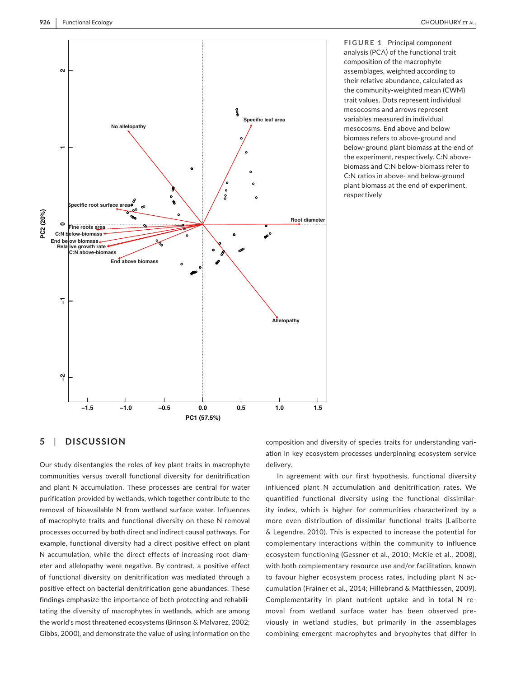

**FIGURE 1** Principal component analysis (PCA) of the functional trait composition of the macrophyte assemblages, weighted according to their relative abundance, calculated as the community-weighted mean (CWM) trait values. Dots represent individual mesocosms and arrows represent variables measured in individual mesocosms. End above and below biomass refers to above-ground and below-ground plant biomass at the end of the experiment, respectively. C:N abovebiomass and C:N below-biomass refer to C:N ratios in above- and below-ground plant biomass at the end of experiment, respectively

# **5**  | **DISCUSSION**

Our study disentangles the roles of key plant traits in macrophyte communities versus overall functional diversity for denitrification and plant N accumulation. These processes are central for water purification provided by wetlands, which together contribute to the removal of bioavailable N from wetland surface water. Influences of macrophyte traits and functional diversity on these N removal processes occurred by both direct and indirect causal pathways. For example, functional diversity had a direct positive effect on plant N accumulation, while the direct effects of increasing root diameter and allelopathy were negative. By contrast, a positive effect of functional diversity on denitrification was mediated through a positive effect on bacterial denitrification gene abundances. These findings emphasize the importance of both protecting and rehabilitating the diversity of macrophytes in wetlands, which are among the world's most threatened ecosystems (Brinson & Malvarez, 2002; Gibbs, 2000), and demonstrate the value of using information on the

composition and diversity of species traits for understanding variation in key ecosystem processes underpinning ecosystem service delivery.

In agreement with our first hypothesis, functional diversity influenced plant N accumulation and denitrification rates. We quantified functional diversity using the functional dissimilarity index, which is higher for communities characterized by a more even distribution of dissimilar functional traits (Laliberte & Legendre, 2010). This is expected to increase the potential for complementary interactions within the community to influence ecosystem functioning (Gessner et al., 2010; McKie et al., 2008), with both complementary resource use and/or facilitation, known to favour higher ecosystem process rates, including plant N accumulation (Frainer et al., 2014; Hillebrand & Matthiessen, 2009). Complementarity in plant nutrient uptake and in total N removal from wetland surface water has been observed previously in wetland studies, but primarily in the assemblages combining emergent macrophytes and bryophytes that differ in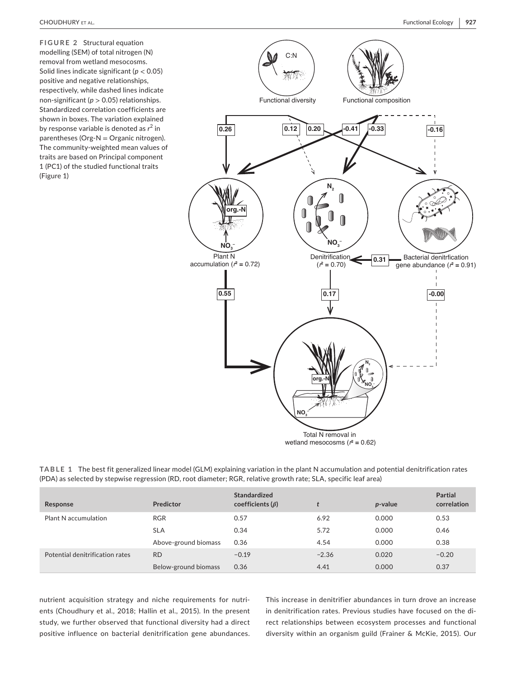**FIGURE 2** Structural equation modelling (SEM) of total nitrogen (N) removal from wetland mesocosms. Solid lines indicate significant (*p* < 0.05) positive and negative relationships, respectively, while dashed lines indicate non-significant (*p* > 0.05) relationships. Standardized correlation coefficients are shown in boxes. The variation explained by response variable is denoted as r<sup>2</sup> in parentheses (Org-N = Organic nitrogen). The community-weighted mean values of traits are based on Principal component 1 (PC1) of the studied functional traits (Figure 1)



| TABLE 1 The best fit generalized linear model (GLM) explaining variation in the plant N accumulation and potential denitrification rates |
|------------------------------------------------------------------------------------------------------------------------------------------|
| (PDA) as selected by stepwise regression (RD, root diameter; RGR, relative growth rate; SLA, specific leaf area)                         |

| Response                        | Predictor            | <b>Standardized</b><br>coefficients $(\beta)$ |         | <i>p</i> -value | <b>Partial</b><br>correlation |
|---------------------------------|----------------------|-----------------------------------------------|---------|-----------------|-------------------------------|
| Plant N accumulation            | <b>RGR</b>           | 0.57                                          | 6.92    | 0.000           | 0.53                          |
|                                 | <b>SLA</b>           | 0.34                                          | 5.72    | 0.000           | 0.46                          |
|                                 | Above-ground biomass | 0.36                                          | 4.54    | 0.000           | 0.38                          |
| Potential denitrification rates | <b>RD</b>            | $-0.19$                                       | $-2.36$ | 0.020           | $-0.20$                       |
|                                 | Below-ground biomass | 0.36                                          | 4.41    | 0.000           | 0.37                          |

nutrient acquisition strategy and niche requirements for nutrients (Choudhury et al., 2018; Hallin et al., 2015). In the present study, we further observed that functional diversity had a direct positive influence on bacterial denitrification gene abundances.

This increase in denitrifier abundances in turn drove an increase in denitrification rates. Previous studies have focused on the direct relationships between ecosystem processes and functional diversity within an organism guild (Frainer & McKie, 2015). Our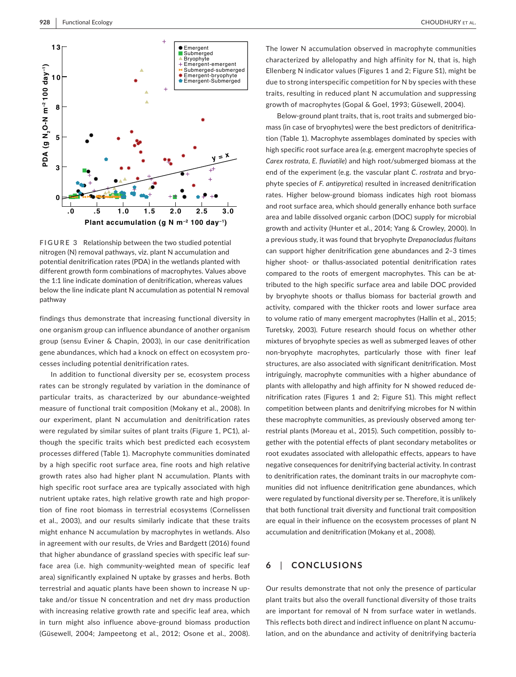

**FIGURE 3** Relationship between the two studied potential nitrogen (N) removal pathways, viz. plant N accumulation and potential denitrification rates (PDA) in the wetlands planted with different growth form combinations of macrophytes. Values above the 1:1 line indicate domination of denitrification, whereas values below the line indicate plant N accumulation as potential N removal pathway

findings thus demonstrate that increasing functional diversity in one organism group can influence abundance of another organism group (sensu Eviner & Chapin, 2003), in our case denitrification gene abundances, which had a knock on effect on ecosystem processes including potential denitrification rates.

In addition to functional diversity per se, ecosystem process rates can be strongly regulated by variation in the dominance of particular traits, as characterized by our abundance-weighted measure of functional trait composition (Mokany et al., 2008). In our experiment, plant N accumulation and denitrification rates were regulated by similar suites of plant traits (Figure 1, PC1), although the specific traits which best predicted each ecosystem processes differed (Table 1). Macrophyte communities dominated by a high specific root surface area, fine roots and high relative growth rates also had higher plant N accumulation. Plants with high specific root surface area are typically associated with high nutrient uptake rates, high relative growth rate and high proportion of fine root biomass in terrestrial ecosystems (Cornelissen et al., 2003), and our results similarly indicate that these traits might enhance N accumulation by macrophytes in wetlands. Also in agreement with our results, de Vries and Bardgett (2016) found that higher abundance of grassland species with specific leaf surface area (i.e. high community-weighted mean of specific leaf area) significantly explained N uptake by grasses and herbs. Both terrestrial and aquatic plants have been shown to increase N uptake and/or tissue N concentration and net dry mass production with increasing relative growth rate and specific leaf area, which in turn might also influence above-ground biomass production (Güsewell, 2004; Jampeetong et al., 2012; Osone et al., 2008).

The lower N accumulation observed in macrophyte communities characterized by allelopathy and high affinity for N, that is, high Ellenberg N indicator values (Figures 1 and 2; Figure S1), might be due to strong interspecific competition for N by species with these traits, resulting in reduced plant N accumulation and suppressing growth of macrophytes (Gopal & Goel, 1993; Güsewell, 2004).

Below-ground plant traits, that is, root traits and submerged biomass (in case of bryophytes) were the best predictors of denitrification (Table 1). Macrophyte assemblages dominated by species with high specific root surface area (e.g. emergent macrophyte species of *Carex rostrata*, *E. fluviatile*) and high root/submerged biomass at the end of the experiment (e.g. the vascular plant *C. rostrata* and bryophyte species of *F. antipyretica*) resulted in increased denitrification rates. Higher below-ground biomass indicates high root biomass and root surface area, which should generally enhance both surface area and labile dissolved organic carbon (DOC) supply for microbial growth and activity (Hunter et al., 2014; Yang & Crowley, 2000). In a previous study, it was found that bryophyte *Drepanocladus fluitans* can support higher denitrification gene abundances and 2–3 times higher shoot- or thallus-associated potential denitrification rates compared to the roots of emergent macrophytes. This can be attributed to the high specific surface area and labile DOC provided by bryophyte shoots or thallus biomass for bacterial growth and activity, compared with the thicker roots and lower surface area to volume ratio of many emergent macrophytes (Hallin et al., 2015; Turetsky, 2003). Future research should focus on whether other mixtures of bryophyte species as well as submerged leaves of other non-bryophyte macrophytes, particularly those with finer leaf structures, are also associated with significant denitrification. Most intriguingly, macrophyte communities with a higher abundance of plants with allelopathy and high affinity for N showed reduced denitrification rates (Figures 1 and 2; Figure S1). This might reflect competition between plants and denitrifying microbes for N within these macrophyte communities, as previously observed among terrestrial plants (Moreau et al., 2015). Such competition, possibly together with the potential effects of plant secondary metabolites or root exudates associated with allelopathic effects, appears to have negative consequences for denitrifying bacterial activity. In contrast to denitrification rates, the dominant traits in our macrophyte communities did not influence denitrification gene abundances, which were regulated by functional diversity per se. Therefore, it is unlikely that both functional trait diversity and functional trait composition are equal in their influence on the ecosystem processes of plant N accumulation and denitrification (Mokany et al., 2008).

# **6**  | **CONCLUSIONS**

Our results demonstrate that not only the presence of particular plant traits but also the overall functional diversity of those traits are important for removal of N from surface water in wetlands. This reflects both direct and indirect influence on plant N accumulation, and on the abundance and activity of denitrifying bacteria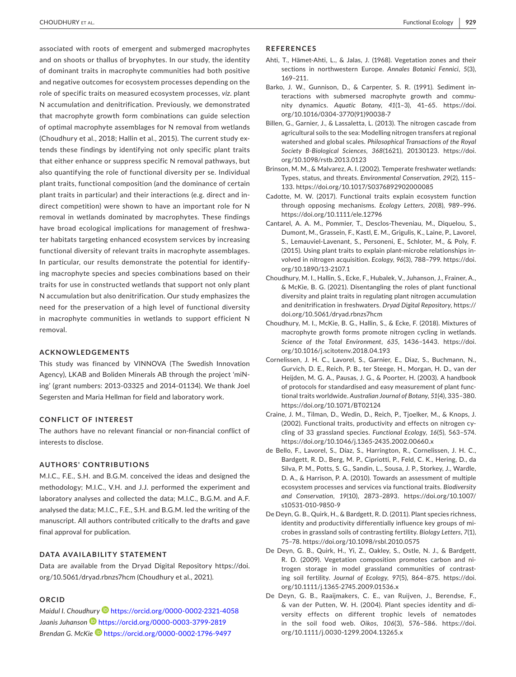CHOUDHURY et al. Functional Ecology**| 929**

associated with roots of emergent and submerged macrophytes and on shoots or thallus of bryophytes. In our study, the identity of dominant traits in macrophyte communities had both positive and negative outcomes for ecosystem processes depending on the role of specific traits on measured ecosystem processes, *viz*. plant N accumulation and denitrification. Previously, we demonstrated that macrophyte growth form combinations can guide selection of optimal macrophyte assemblages for N removal from wetlands (Choudhury et al., 2018; Hallin et al., 2015). The current study extends these findings by identifying not only specific plant traits that either enhance or suppress specific N removal pathways, but also quantifying the role of functional diversity per se. Individual plant traits, functional composition (and the dominance of certain plant traits in particular) and their interactions (e.g. direct and indirect competition) were shown to have an important role for N removal in wetlands dominated by macrophytes. These findings have broad ecological implications for management of freshwater habitats targeting enhanced ecosystem services by increasing functional diversity of relevant traits in macrophyte assemblages. In particular, our results demonstrate the potential for identifying macrophyte species and species combinations based on their traits for use in constructed wetlands that support not only plant N accumulation but also denitrification. Our study emphasizes the need for the preservation of a high level of functional diversity in macrophyte communities in wetlands to support efficient N removal.

#### **ACKNOWLEDGEMENTS**

This study was financed by VINNOVA (The Swedish Innovation Agency), LKAB and Boliden Minerals AB through the project 'miNing' (grant numbers: 2013-03325 and 2014-01134). We thank Joel Segersten and Maria Hellman for field and laboratory work.

#### **CONFLICT OF INTEREST**

The authors have no relevant financial or non-financial conflict of interests to disclose.

### **AUTHORS' CONTRIBUTIONS**

M.I.C., F.E., S.H. and B.G.M. conceived the ideas and designed the methodology; M.I.C., V.H. and J.J. performed the experiment and laboratory analyses and collected the data; M.I.C., B.G.M. and A.F. analysed the data; M.I.C., F.E., S.H. and B.G.M. led the writing of the manuscript. All authors contributed critically to the drafts and gave final approval for publication.

#### **DATA AVAILABILITY STATEMENT**

Data are available from the Dryad Digital Repository [https://doi.](https://doi.org/10.5061/dryad.rbnzs7hcm) [org/10.5061/dryad.rbnzs7hcm](https://doi.org/10.5061/dryad.rbnzs7hcm) (Choudhury et al., 2021).

#### **ORCID**

*Maidul I. Choudhur[y](https://orcid.org/0000-0002-2321-4058)* <https://orcid.org/0000-0002-2321-4058> *Jaanis Juhanson* <https://orcid.org/0000-0003-3799-2819> *Brendan G. McKi[e](https://orcid.org/0000-0002-1796-9497)* <https://orcid.org/0000-0002-1796-9497>

#### **REFERENCES**

- Ahti, T., Hämet-Ahti, L., & Jalas, J. (1968). Vegetation zones and their sections in northwestern Europe. *Annales Botanici Fennici*, *5*(3), 169–211.
- Barko, J. W., Gunnison, D., & Carpenter, S. R. (1991). Sediment interactions with submersed macrophyte growth and community dynamics. *Aquatic Botany*, *41*(1–3), 41–65. [https://doi.](https://doi.org/10.1016/0304-3770(91)90038-7) [org/10.1016/0304-3770\(91\)90038-7](https://doi.org/10.1016/0304-3770(91)90038-7)
- Billen, G., Garnier, J., & Lassaletta, L. (2013). The nitrogen cascade from agricultural soils to the sea: Modelling nitrogen transfers at regional watershed and global scales. *Philosophical Transactions of the Royal Society B-Biological Sciences*, *368*(1621), 20130123. [https://doi.](https://doi.org/10.1098/rstb.2013.0123) [org/10.1098/rstb.2013.0123](https://doi.org/10.1098/rstb.2013.0123)
- Brinson, M. M., & Malvarez, A. I. (2002). Temperate freshwater wetlands: Types, status, and threats. *Environmental Conservation*, *29*(2), 115– 133. <https://doi.org/10.1017/S0376892902000085>
- Cadotte, M. W. (2017). Functional traits explain ecosystem function through opposing mechanisms. *Ecology Letters*, *20*(8), 989–996. <https://doi.org/10.1111/ele.12796>
- Cantarel, A. A. M., Pommier, T., Desclos-Theveniau, M., Diquelou, S., Dumont, M., Grassein, F., Kastl, E. M., Grigulis, K., Laine, P., Lavorel, S., Lemauviel-Lavenant, S., Personeni, E., Schloter, M., & Poly, F. (2015). Using plant traits to explain plant-microbe relationships involved in nitrogen acquisition. *Ecology*, *96*(3), 788–799. [https://doi.](https://doi.org/10.1890/13-2107.1) [org/10.1890/13-2107.1](https://doi.org/10.1890/13-2107.1)
- Choudhury, M. I., Hallin, S., Ecke, F., Hubalek, V., Juhanson, J., Frainer, A., & McKie, B. G. (2021). Disentangling the roles of plant functional diversity and plaint traits in regulating plant nitrogen accumulation and denitrification in freshwaters. *Dryad Digital Repository*, [https://](https://doi.org/10.5061/dryad.rbnzs7hcm) [doi.org/10.5061/dryad.rbnzs7hcm](https://doi.org/10.5061/dryad.rbnzs7hcm)
- Choudhury, M. I., McKie, B. G., Hallin, S., & Ecke, F. (2018). Mixtures of macrophyte growth forms promote nitrogen cycling in wetlands. *Science of the Total Environment*, *635*, 1436–1443. [https://doi.](https://doi.org/10.1016/j.scitotenv.2018.04.193) [org/10.1016/j.scitotenv.2018.04.193](https://doi.org/10.1016/j.scitotenv.2018.04.193)
- Cornelissen, J. H. C., Lavorel, S., Garnier, E., Diaz, S., Buchmann, N., Gurvich, D. E., Reich, P. B., ter Steege, H., Morgan, H. D., van der Heijden, M. G. A., Pausas, J. G., & Poorter, H. (2003). A handbook of protocols for standardised and easy measurement of plant functional traits worldwide. *Australian Journal of Botany*, *51*(4), 335–380. <https://doi.org/10.1071/BT02124>
- Craine, J. M., Tilman, D., Wedin, D., Reich, P., Tjoelker, M., & Knops, J. (2002). Functional traits, productivity and effects on nitrogen cycling of 33 grassland species. *Functional Ecology*, *16*(5), 563–574. <https://doi.org/10.1046/j.1365-2435.2002.00660.x>
- de Bello, F., Lavorel, S., Díaz, S., Harrington, R., Cornelissen, J. H. C., Bardgett, R. D., Berg, M. P., Cipriotti, P., Feld, C. K., Hering, D., da Silva, P. M., Potts, S. G., Sandin, L., Sousa, J. P., Storkey, J., Wardle, D. A., & Harrison, P. A. (2010). Towards an assessment of multiple ecosystem processes and services via functional traits. *Biodiversity and Conservation*, *19*(10), 2873–2893. [https://doi.org/10.1007/](https://doi.org/10.1007/s10531-010-9850-9) [s10531-010-9850-9](https://doi.org/10.1007/s10531-010-9850-9)
- De Deyn, G. B., Quirk, H., & Bardgett, R. D. (2011). Plant species richness, identity and productivity differentially influence key groups of microbes in grassland soils of contrasting fertility. *Biology Letters*, *7*(1), 75–78. <https://doi.org/10.1098/rsbl.2010.0575>
- De Deyn, G. B., Quirk, H., Yi, Z., Oakley, S., Ostle, N. J., & Bardgett, R. D. (2009). Vegetation composition promotes carbon and nitrogen storage in model grassland communities of contrasting soil fertility. *Journal of Ecology*, *97*(5), 864–875. [https://doi.](https://doi.org/10.1111/j.1365-2745.2009.01536.x) [org/10.1111/j.1365-2745.2009.01536.x](https://doi.org/10.1111/j.1365-2745.2009.01536.x)
- De Deyn, G. B., Raaijmakers, C. E., van Ruijven, J., Berendse, F., & van der Putten, W. H. (2004). Plant species identity and diversity effects on different trophic levels of nematodes in the soil food web. *Oikos*, *106*(3), 576–586. [https://doi.](https://doi.org/10.1111/j.0030-1299.2004.13265.x) [org/10.1111/j.0030-1299.2004.13265.x](https://doi.org/10.1111/j.0030-1299.2004.13265.x)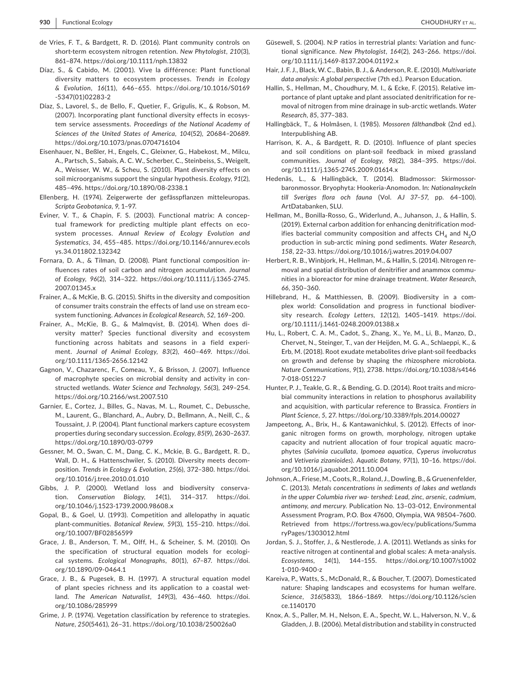- de Vries, F. T., & Bardgett, R. D. (2016). Plant community controls on short-term ecosystem nitrogen retention. *New Phytologist*, *210*(3), 861–874. <https://doi.org/10.1111/nph.13832>
- Díaz, S., & Cabido, M. (2001). Vive la différence: Plant functional diversity matters to ecosystem processes. *Trends in Ecology & Evolution*, *16*(11), 646–655. [https://doi.org/10.1016/S0169](https://doi.org/10.1016/S0169-5347(01)02283-2) [-5347\(01\)02283-2](https://doi.org/10.1016/S0169-5347(01)02283-2)
- Díaz, S., Lavorel, S., de Bello, F., Quetier, F., Grigulis, K., & Robson, M. (2007). Incorporating plant functional diversity effects in ecosystem service assessments. *Proceedings of the National Academy of Sciences of the United States of America*, *104*(52), 20684–20689. <https://doi.org/10.1073/pnas.0704716104>
- Eisenhauer, N., Beßler, H., Engels, C., Gleixner, G., Habekost, M., Milcu, A., Partsch, S., Sabais, A. C. W., Scherber, C., Steinbeiss, S., Weigelt, A., Weisser, W. W., & Scheu, S. (2010). Plant diversity effects on soil microorganisms support the singular hypothesis. *Ecology*, *91*(2), 485–496.<https://doi.org/10.1890/08-2338.1>
- Ellenberg, H. (1974). Zeigerwerte der gefässpflanzen mitteleuropas. *Scripta Geobotanica*, *9*, 1–97.
- Eviner, V. T., & Chapin, F. S. (2003). Functional matrix: A conceptual framework for predicting multiple plant effects on ecosystem processes. *Annual Review of Ecology Evolution and Systematics*, *34*, 455–485. [https://doi.org/10.1146/annurev.ecols](https://doi.org/10.1146/annurev.ecolsys.34.011802.132342) [ys.34.011802.132342](https://doi.org/10.1146/annurev.ecolsys.34.011802.132342)
- Fornara, D. A., & Tilman, D. (2008). Plant functional composition influences rates of soil carbon and nitrogen accumulation. *Journal of Ecology*, *96*(2), 314–322. [https://doi.org/10.1111/j.1365-2745.](https://doi.org/10.1111/j.1365-2745.2007.01345.x) [2007.01345.x](https://doi.org/10.1111/j.1365-2745.2007.01345.x)
- Frainer, A., & McKie, B. G. (2015). Shifts in the diversity and composition of consumer traits constrain the effects of land use on stream ecosystem functioning. *Advances in Ecological Research*, *52*, 169–200.
- Frainer, A., McKie, B. G., & Malmqvist, B. (2014). When does diversity matter? Species functional diversity and ecosystem functioning across habitats and seasons in a field experiment. *Journal of Animal Ecology*, *83*(2), 460–469. [https://doi.](https://doi.org/10.1111/1365-2656.12142) [org/10.1111/1365-2656.12142](https://doi.org/10.1111/1365-2656.12142)
- Gagnon, V., Chazarenc, F., Comeau, Y., & Brisson, J. (2007). Influence of macrophyte species on microbial density and activity in constructed wetlands. *Water Science and Technology*, *56*(3), 249–254. <https://doi.org/10.2166/wst.2007.510>
- Garnier, E., Cortez, J., Billes, G., Navas, M. L., Roumet, C., Debussche, M., Laurent, G., Blanchard, A., Aubry, D., Bellmann, A., Neill, C., & Toussaint, J. P. (2004). Plant functional markers capture ecosystem properties during secondary succession. *Ecology*, *85*(9), 2630–2637. <https://doi.org/10.1890/03-0799>
- Gessner, M. O., Swan, C. M., Dang, C. K., Mckie, B. G., Bardgett, R. D., Wall, D. H., & Hattenschwiler, S. (2010). Diversity meets decomposition. *Trends in Ecology & Evolution*, *25*(6), 372–380. [https://doi.](https://doi.org/10.1016/j.tree.2010.01.010) [org/10.1016/j.tree.2010.01.010](https://doi.org/10.1016/j.tree.2010.01.010)
- Gibbs, J. P. (2000). Wetland loss and biodiversity conservation. *Conservation Biology*, *14*(1), 314–317. [https://doi.](https://doi.org/10.1046/j.1523-1739.2000.98608.x) [org/10.1046/j.1523-1739.2000.98608.x](https://doi.org/10.1046/j.1523-1739.2000.98608.x)
- Gopal, B., & Goel, U. (1993). Competition and allelopathy in aquatic plant-communities. *Botanical Review*, *59*(3), 155–210. [https://doi.](https://doi.org/10.1007/BF02856599) [org/10.1007/BF02856599](https://doi.org/10.1007/BF02856599)
- Grace, J. B., Anderson, T. M., Olff, H., & Scheiner, S. M. (2010). On the specification of structural equation models for ecological systems. *Ecological Monographs*, *80*(1), 67–87. [https://doi.](https://doi.org/10.1890/09-0464.1) [org/10.1890/09-0464.1](https://doi.org/10.1890/09-0464.1)
- Grace, J. B., & Pugesek, B. H. (1997). A structural equation model of plant species richness and its application to a coastal wetland. *The American Naturalist*, *149*(3), 436–460. [https://doi.](https://doi.org/10.1086/285999) [org/10.1086/285999](https://doi.org/10.1086/285999)
- Grime, J. P. (1974). Vegetation classification by reference to strategies. *Nature*, *250*(5461), 26–31. <https://doi.org/10.1038/250026a0>
- Güsewell, S. (2004). N:P ratios in terrestrial plants: Variation and functional significance. *New Phytologist*, *164*(2), 243–266. [https://doi.](https://doi.org/10.1111/j.1469-8137.2004.01192.x) [org/10.1111/j.1469-8137.2004.01192.x](https://doi.org/10.1111/j.1469-8137.2004.01192.x)
- Hair, J. F. J., Black, W. C., Babin, B. J., & Anderson, R. E. (2010). *Multivariate data analysis: A global perspective* (7th ed.). Pearson Education.
- Hallin, S., Hellman, M., Choudhury, M. I., & Ecke, F. (2015). Relative importance of plant uptake and plant associated denitrification for removal of nitrogen from mine drainage in sub-arctic wetlands. *Water Research*, *85*, 377–383.
- Hallingbäck, T., & Holmåsen, I. (1985). *Mossoren fälthandbok* (2nd ed.). Interpublishing AB.
- Harrison, K. A., & Bardgett, R. D. (2010). Influence of plant species and soil conditions on plant-soil feedback in mixed grassland communities. *Journal of Ecology*, *98*(2), 384–395. [https://doi.](https://doi.org/10.1111/j.1365-2745.2009.01614.x) [org/10.1111/j.1365-2745.2009.01614.x](https://doi.org/10.1111/j.1365-2745.2009.01614.x)
- Hedenäs, L., & Hallingbäck, T. (2014). Bladmossor: Skirmossorbaronmossor. Bryophyta: Hookeria-Anomodon. In: *Nationalnyckeln till Sveriges flora och fauna* (Vol. *AJ 37–57*, pp. 64–100). ArtDatabanken, SLU.
- Hellman, M., Bonilla-Rosso, G., Widerlund, A., Juhanson, J., & Hallin, S. (2019). External carbon addition for enhancing denitrification modifies bacterial community composition and affects  $CH<sub>A</sub>$  and N<sub>2</sub>O production in sub-arctic mining pond sediments. *Water Research*, *158*, 22–33. <https://doi.org/10.1016/j.watres.2019.04.007>
- Herbert, R. B., Winbjork, H., Hellman, M., & Hallin, S. (2014). Nitrogen removal and spatial distribution of denitrifier and anammox communities in a bioreactor for mine drainage treatment. *Water Research*, *66*, 350–360.
- Hillebrand, H., & Matthiessen, B. (2009). Biodiversity in a complex world: Consolidation and progress in functional biodiversity research. *Ecology Letters*, *12*(12), 1405–1419. [https://doi.](https://doi.org/10.1111/j.1461-0248.2009.01388.x) [org/10.1111/j.1461-0248.2009.01388.x](https://doi.org/10.1111/j.1461-0248.2009.01388.x)
- Hu, L., Robert, C. A. M., Cadot, S., Zhang, X., Ye, M., Li, B., Manzo, D., Chervet, N., Steinger, T., van der Heijden, M. G. A., Schlaeppi, K., & Erb, M. (2018). Root exudate metabolites drive plant-soil feedbacks on growth and defense by shaping the rhizosphere microbiota. *Nature Communications*, *9*(1), 2738. [https://doi.org/10.1038/s4146](https://doi.org/10.1038/s41467-018-05122-7) [7-018-05122-7](https://doi.org/10.1038/s41467-018-05122-7)
- Hunter, P. J., Teakle, G. R., & Bending, G. D. (2014). Root traits and microbial community interactions in relation to phosphorus availability and acquisition, with particular reference to Brassica. *Frontiers in Plant Science*, *5*, 27. <https://doi.org/10.3389/fpls.2014.00027>
- Jampeetong, A., Brix, H., & Kantawanichkul, S. (2012). Effects of inorganic nitrogen forms on growth, morphology, nitrogen uptake capacity and nutrient allocation of four tropical aquatic macrophytes (*Salvinia cucullata*, *Ipomoea aquatica*, *Cyperus involucratus* and *Vetiveria zizanioides*). *Aquatic Botany*, *97*(1), 10–16. [https://doi.](https://doi.org/10.1016/j.aquabot.2011.10.004) [org/10.1016/j.aquabot.2011.10.004](https://doi.org/10.1016/j.aquabot.2011.10.004)
- Johnson, A., Friese, M., Coots, R., Roland, J., Dowling, B., & Gruenenfelder, C. (2013). *Metals concentrations in sediments of lakes and wetlands in the upper Columbia river wa- tershed: Lead, zinc, arsenic, cadmium, antimony, and mercury*. Publication No. 13–03-012, Environmental Assessment Program, P.O. Box 47600, Olympia, WA 98504–7600. Retrieved from [https://fortress.wa.gov/ecy/publications/Summa](https://fortress.wa.gov/ecy/publications/SummaryPages/1303012.html) [ryPages/1303012.html](https://fortress.wa.gov/ecy/publications/SummaryPages/1303012.html)
- Jordan, S. J., Stoffer, J., & Nestlerode, J. A. (2011). Wetlands as sinks for reactive nitrogen at continental and global scales: A meta-analysis. *Ecosystems*, *14*(1), 144–155. [https://doi.org/10.1007/s1002](https://doi.org/10.1007/s10021-010-9400-z) [1-010-9400-z](https://doi.org/10.1007/s10021-010-9400-z)
- Kareiva, P., Watts, S., McDonald, R., & Boucher, T. (2007). Domesticated nature: Shaping landscapes and ecosystems for human welfare. *Science*, *316*(5833), 1866–1869. [https://doi.org/10.1126/scien](https://doi.org/10.1126/science.1140170) [ce.1140170](https://doi.org/10.1126/science.1140170)
- Knox, A. S., Paller, M. H., Nelson, E. A., Specht, W. L., Halverson, N. V., & Gladden, J. B. (2006). Metal distribution and stability in constructed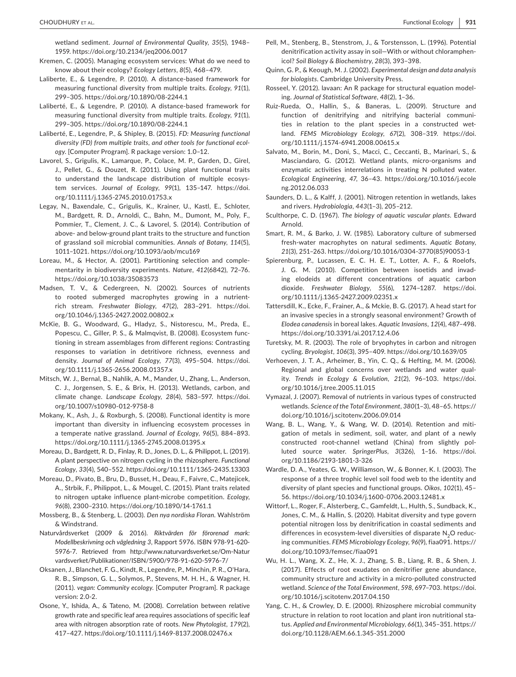wetland sediment. *Journal of Environmental Quality*, *35*(5), 1948– 1959. <https://doi.org/10.2134/jeq2006.0017>

- Kremen, C. (2005). Managing ecosystem services: What do we need to know about their ecology? *Ecology Letters*, *8*(5), 468–479.
- Laliberte, E., & Legendre, P. (2010). A distance-based framework for measuring functional diversity from multiple traits. *Ecology*, *91*(1), 299–305.<https://doi.org/10.1890/08-2244.1>
- Laliberté, E., & Legendre, P. (2010). A distance-based framework for measuring functional diversity from multiple traits. *Ecology*, *91*(1), 299–305.<https://doi.org/10.1890/08-2244.1>
- Laliberté, E., Legendre, P., & Shipley, B. (2015). *FD: Measuring functional diversity (FD) from multiple traits, and other tools for functional ecology*. [Computer Program]. R package version: 1.0–12.
- Lavorel, S., Grigulis, K., Lamarque, P., Colace, M. P., Garden, D., Girel, J., Pellet, G., & Douzet, R. (2011). Using plant functional traits to understand the landscape distribution of multiple ecosystem services. *Journal of Ecology*, *99*(1), 135–147. [https://doi.](https://doi.org/10.1111/j.1365-2745.2010.01753.x) [org/10.1111/j.1365-2745.2010.01753.x](https://doi.org/10.1111/j.1365-2745.2010.01753.x)
- Legay, N., Baxendale, C., Grigulis, K., Krainer, U., Kastl, E., Schloter, M., Bardgett, R. D., Arnoldi, C., Bahn, M., Dumont, M., Poly, F., Pommier, T., Clement, J. C., & Lavorel, S. (2014). Contribution of above- and below-ground plant traits to the structure and function of grassland soil microbial communities. *Annals of Botany*, *114*(5), 1011–1021.<https://doi.org/10.1093/aob/mcu169>
- Loreau, M., & Hector, A. (2001). Partitioning selection and complementarity in biodiversity experiments. *Nature*, *412*(6842), 72–76. <https://doi.org/10.1038/35083573>
- Madsen, T. V., & Cedergreen, N. (2002). Sources of nutrients to rooted submerged macrophytes growing in a nutrientrich stream. *Freshwater Biology*, *47*(2), 283–291. [https://doi.](https://doi.org/10.1046/j.1365-2427.2002.00802.x) [org/10.1046/j.1365-2427.2002.00802.x](https://doi.org/10.1046/j.1365-2427.2002.00802.x)
- McKie, B. G., Woodward, G., Hladyz, S., Nistorescu, M., Preda, E., Popescu, C., Giller, P. S., & Malmqvist, B. (2008). Ecosystem functioning in stream assemblages from different regions: Contrasting responses to variation in detritivore richness, evenness and density. *Journal of Animal Ecology*, *77*(3), 495–504. [https://doi.](https://doi.org/10.1111/j.1365-2656.2008.01357.x) [org/10.1111/j.1365-2656.2008.01357.x](https://doi.org/10.1111/j.1365-2656.2008.01357.x)
- Mitsch, W. J., Bernal, B., Nahlik, A. M., Mander, U., Zhang, L., Anderson, C. J., Jorgensen, S. E., & Brix, H. (2013). Wetlands, carbon, and climate change. *Landscape Ecology*, *28*(4), 583–597. [https://doi.](https://doi.org/10.1007/s10980-012-9758-8) [org/10.1007/s10980-012-9758-8](https://doi.org/10.1007/s10980-012-9758-8)
- Mokany, K., Ash, J., & Roxburgh, S. (2008). Functional identity is more important than diversity in influencing ecosystem processes in a temperate native grassland. *Journal of Ecology*, *96*(5), 884–893. <https://doi.org/10.1111/j.1365-2745.2008.01395.x>
- Moreau, D., Bardgett, R. D., Finlay, R. D., Jones, D. L., & Philippot, L. (2019). A plant perspective on nitrogen cycling in the rhizosphere. *Functional Ecology*, *33*(4), 540–552. <https://doi.org/10.1111/1365-2435.13303>
- Moreau, D., Pivato, B., Bru, D., Busset, H., Deau, F., Faivre, C., Matejicek, A., Strbik, F., Philippot, L., & Mougel, C. (2015). Plant traits related to nitrogen uptake influence plant-microbe competition. *Ecology*, *96*(8), 2300–2310.<https://doi.org/10.1890/14-1761.1>
- Mossberg, B., & Stenberg, L. (2003). *Den nya nordiska Floran*. Wahlström & Windstrand.
- Naturvårdsverket (2009 & 2016). *Riktvärden för förorenad mark: Modellbeskrivning och vägledning 3*, Rapport 5976. ISBN 978-91-620- 5976-7. Retrieved from [http://www.naturvardsverket.se/Om-Natur](http://www.naturvardsverket.se/Om-Naturvardsverket/Publikationer/ISBN/5900/978-91-620-5976-7/) [vardsverket/Publikationer/ISBN/5900/978-91-620-5976-7/](http://www.naturvardsverket.se/Om-Naturvardsverket/Publikationer/ISBN/5900/978-91-620-5976-7/)
- Oksanen, J., Blanchet, F. G., Kindt, R., Legendre, P., Minchin, P. R., O'Hara, R. B., Simpson, G. L., Solymos, P., Stevens, M. H. H., & Wagner, H. (2011). *vegan: Community ecology*. [Computer Program]. R package version: 2.0-2.
- Osone, Y., Ishida, A., & Tateno, M. (2008). Correlation between relative growth rate and specific leaf area requires associations of specific leaf area with nitrogen absorption rate of roots. *New Phytologist*, *179*(2), 417–427. <https://doi.org/10.1111/j.1469-8137.2008.02476.x>
- Pell, M., Stenberg, B., Stenstrom, J., & Torstensson, L. (1996). Potential denitrification activity assay in soil—With or without chloramphenicol? *Soil Biology & Biochemistry*, *28*(3), 393–398.
- Quinn, G. P., & Keough, M. J. (2002). *Experimental design and data analysis for biologists*. Cambridge University Press.
- Rosseel, Y. (2012). lavaan: An R package for structural equation modeling. *Journal of Statistical Software*, *48*(2), 1–36.
- Ruiz-Rueda, O., Hallin, S., & Baneras, L. (2009). Structure and function of denitrifying and nitrifying bacterial communities in relation to the plant species in a constructed wetland. *FEMS Microbiology Ecology*, *67*(2), 308–319. [https://doi.](https://doi.org/10.1111/j.1574-6941.2008.00615.x) [org/10.1111/j.1574-6941.2008.00615.x](https://doi.org/10.1111/j.1574-6941.2008.00615.x)
- Salvato, M., Borin, M., Doni, S., Macci, C., Ceccanti, B., Marinari, S., & Masciandaro, G. (2012). Wetland plants, micro-organisms and enzymatic activities interrelations in treating N polluted water. *Ecological Engineering*, *47*, 36–43. [https://doi.org/10.1016/j.ecole](https://doi.org/10.1016/j.ecoleng.2012.06.033) [ng.2012.06.033](https://doi.org/10.1016/j.ecoleng.2012.06.033)
- Saunders, D. L., & Kalff, J. (2001). Nitrogen retention in wetlands, lakes and rivers. *Hydrobiologia*, *443*(1–3), 205–212.
- Sculthorpe, C. D. (1967). *The biology of aquatic vascular plants*. Edward Arnold.
- Smart, R. M., & Barko, J. W. (1985). Laboratory culture of submersed fresh-water macrophytes on natural sediments. *Aquatic Botany*, *21*(3), 251–263. [https://doi.org/10.1016/0304-3770\(85\)90053-1](https://doi.org/10.1016/0304-3770(85)90053-1)
- Spierenburg, P., Lucassen, E. C. H. E. T., Lotter, A. F., & Roelofs, J. G. M. (2010). Competition between isoetids and invading elodeids at different concentrations of aquatic carbon dioxide. *Freshwater Biology*, *55*(6), 1274–1287. [https://doi.](https://doi.org/10.1111/j.1365-2427.2009.02351.x) [org/10.1111/j.1365-2427.2009.02351.x](https://doi.org/10.1111/j.1365-2427.2009.02351.x)
- Tattersdill, K., Ecke, F., Frainer, A., & Mckie, B. G. (2017). A head start for an invasive species in a strongly seasonal environment? Growth of *Elodea canadensis* in boreal lakes. *Aquatic Invasions*, *12*(4), 487–498. <https://doi.org/10.3391/ai.2017.12.4.06>
- Turetsky, M. R. (2003). The role of bryophytes in carbon and nitrogen cycling. *Bryologist*, *106*(3), 395–409.<https://doi.org/10.1639/05>
- Verhoeven, J. T. A., Arheimer, B., Yin, C. Q., & Hefting, M. M. (2006). Regional and global concerns over wetlands and water quality. *Trends in Ecology & Evolution*, *21*(2), 96–103. [https://doi.](https://doi.org/10.1016/j.tree.2005.11.015) [org/10.1016/j.tree.2005.11.015](https://doi.org/10.1016/j.tree.2005.11.015)
- Vymazal, J. (2007). Removal of nutrients in various types of constructed wetlands. *Science of the Total Environment*, *380*(1–3), 48–65. [https://](https://doi.org/10.1016/j.scitotenv.2006.09.014) [doi.org/10.1016/j.scitotenv.2006.09.014](https://doi.org/10.1016/j.scitotenv.2006.09.014)
- Wang, B. L., Wang, Y., & Wang, W. D. (2014). Retention and mitigation of metals in sediment, soil, water, and plant of a newly constructed root-channel wetland (China) from slightly polluted source water. *SpringerPlus*, *3*(326), 1–16. [https://doi.](https://doi.org/10.1186/2193-1801-3-326) [org/10.1186/2193-1801-3-326](https://doi.org/10.1186/2193-1801-3-326)
- Wardle, D. A., Yeates, G. W., Williamson, W., & Bonner, K. I. (2003). The response of a three trophic level soil food web to the identity and diversity of plant species and functional groups. *Oikos*, *102*(1), 45– 56.<https://doi.org/10.1034/j.1600-0706.2003.12481.x>
- Wittorf, L., Roger, F., Alsterberg, C., Gamfeldt, L., Hulth, S., Sundback, K., Jones, C. M., & Hallin, S. (2020). Habitat diversity and type govern potential nitrogen loss by denitrification in coastal sediments and differences in ecosystem-level diversities of disparate  $N<sub>2</sub>O$  reducing communities. *FEMS Microbiology Ecology*, *96*(9), fiaa091. [https://](https://doi.org/10.1093/femsec/fiaa091) [doi.org/10.1093/femsec/fiaa091](https://doi.org/10.1093/femsec/fiaa091)
- Wu, H. L., Wang, X. Z., He, X. J., Zhang, S. B., Liang, R. B., & Shen, J. (2017). Effects of root exudates on denitrifier gene abundance, community structure and activity in a micro-polluted constructed wetland. *Science of the Total Environment*, *598*, 697–703. [https://doi.](https://doi.org/10.1016/j.scitotenv.2017.04.150) [org/10.1016/j.scitotenv.2017.04.150](https://doi.org/10.1016/j.scitotenv.2017.04.150)
- Yang, C. H., & Crowley, D. E. (2000). Rhizosphere microbial community structure in relation to root location and plant iron nutritional status. *Applied and Environmental Microbiology*, *66*(1), 345–351. [https://](https://doi.org/10.1128/AEM.66.1.345-351.2000) [doi.org/10.1128/AEM.66.1.345-351.2000](https://doi.org/10.1128/AEM.66.1.345-351.2000)